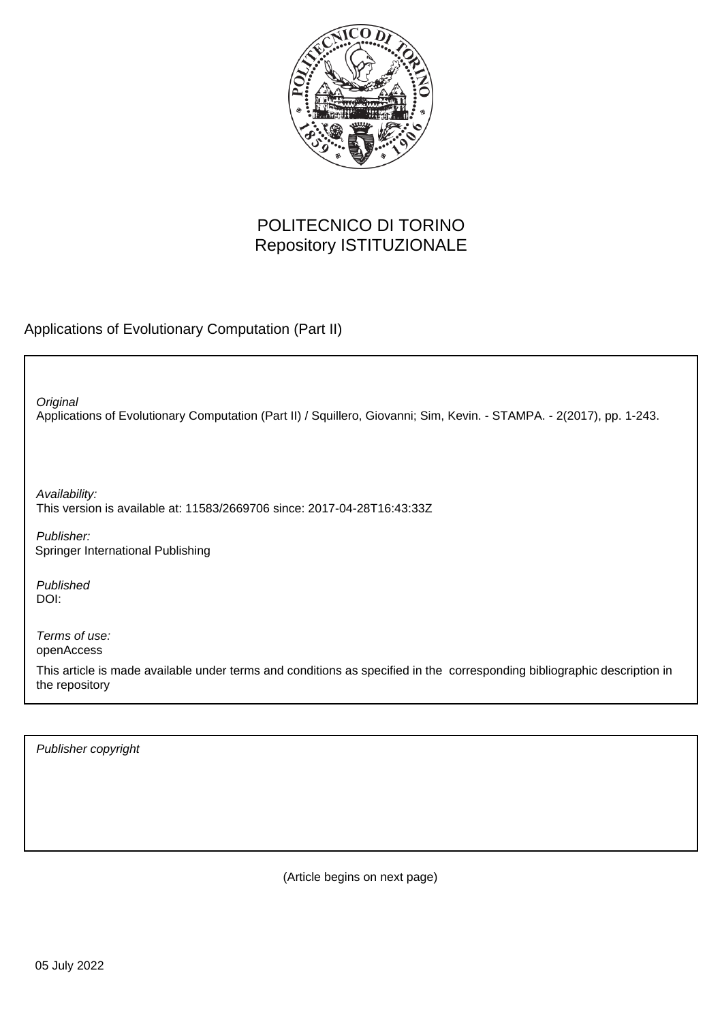

## POLITECNICO DI TORINO Repository ISTITUZIONALE

Applications of Evolutionary Computation (Part II)

Applications of Evolutionary Computation (Part II) / Squillero, Giovanni; Sim, Kevin. - STAMPA. - 2(2017), pp. 1-243. **Original** 

Availability: This version is available at: 11583/2669706 since: 2017-04-28T16:43:33Z

Publisher: Springer International Publishing

Published DOI:

Terms of use: openAccess

This article is made available under terms and conditions as specified in the corresponding bibliographic description in the repository

Publisher copyright

(Article begins on next page)